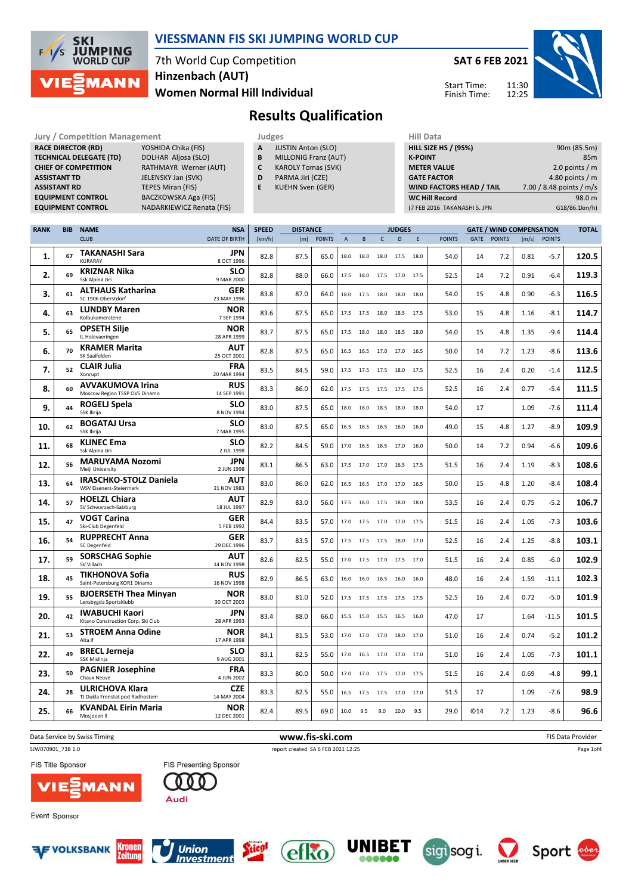

7th World Cup Competition Women Normal Hill Individual Hinzenbach (AUT)

SAT 6 FEB 2021 11:30 Start Time:

Finish Time:

12:25



# Results Qualification

| <b>Jury / Competition Management</b> |                           |   | Judges                      | <b>Hill Data</b>   |
|--------------------------------------|---------------------------|---|-----------------------------|--------------------|
| <b>RACE DIRECTOR (RD)</b>            | YOSHIDA Chika (FIS)       | A | <b>JUSTIN Anton (SLO)</b>   | <b>HILL SIZE H</b> |
| <b>TECHNICAL DELEGATE (TD)</b>       | DOLHAR Aljosa (SLO)       | B | <b>MILLONIG Franz (AUT)</b> | <b>K-POINT</b>     |
| <b>CHIEF OF COMPETITION</b>          | RATHMAYR Werner (AUT)     |   | <b>KAROLY Tomas (SVK)</b>   | <b>METER VA</b>    |
| <b>ASSISTANT TD</b>                  | JELENSKY Jan (SVK)        | D | PARMA Jiri (CZE)            | <b>GATE FACT</b>   |
| <b>ASSISTANT RD</b>                  | TEPES Miran (FIS)         | Е | <b>KUEHN Sven (GER)</b>     | <b>WIND FAC</b>    |
| <b>EQUIPMENT CONTROL</b>             | BACZKOWSKA Aga (FIS)      |   |                             | <b>WC Hill Re</b>  |
| <b>EQUIDMENT CONTROL</b>             | NADARKIEWICZ Renata (EIS) |   |                             | $17$ CCD $2016$    |

YOSHIDA Chika (FIS) DOLHAR Aljosa (SLO) RATHMAYR Werner (AUT) JELENSKY Jan (SVK) TEPES Miran (FIS) BACZKOWSKA Aga (FIS) UIPMENT CONTROL **NADARKIEWICZ Renata (FIS)** 

|   | Judges                    |
|---|---------------------------|
| A | <b>JUSTIN Anton (SLO)</b> |

- **B** MILLONIG Franz (AUT)<br>**C** KAROLY Tomas (SVK)
- KAROLY Tomas (SVK)
- D PARMA Jiri (CZE)
- E KUEHN Sven (GER)

| <b>HILL SIZE HS / (95%)</b>     | 90m (85.5m)              |
|---------------------------------|--------------------------|
| <b>K-POINT</b>                  | 85m                      |
| <b>METER VALUE</b>              | 2.0 points $/m$          |
| <b>GATE FACTOR</b>              | 4.80 points $/m$         |
| <b>WIND FACTORS HEAD / TAIL</b> | 7.00 / 8.48 points / m/s |
| <b>WC Hill Record</b>           | 98.0 m                   |
| (7 FEB 2016 TAKANASHI S. JPN    | G18/86.1km/h)            |

| <b>BIB</b> | <b>NAME</b>                                                     | <b>NSA</b>                   | <b>SPEED</b> |      |               |                 |      |                                                                                                         |      |      |                                                                                                                                                                                                                                                                                                                                                                            |      |               |       |               | <b>TOTAL</b>                    |
|------------|-----------------------------------------------------------------|------------------------------|--------------|------|---------------|-----------------|------|---------------------------------------------------------------------------------------------------------|------|------|----------------------------------------------------------------------------------------------------------------------------------------------------------------------------------------------------------------------------------------------------------------------------------------------------------------------------------------------------------------------------|------|---------------|-------|---------------|---------------------------------|
|            | <b>CLUB</b>                                                     | <b>DATE OF BIRTH</b>         | [km/h]       | [m]  | <b>POINTS</b> | $\overline{A}$  | B    | $\mathsf{C}$                                                                                            | D    | E    | <b>POINTS</b>                                                                                                                                                                                                                                                                                                                                                              | GATE | <b>POINTS</b> | [m/s] | <b>POINTS</b> |                                 |
| 67         | <b>TAKANASHI Sara</b><br><b>KURARAY</b>                         | JPN<br>8 OCT 1996            | 82.8         | 87.5 | 65.0          | 18.0            | 18.0 | 18.0                                                                                                    |      |      | 54.0                                                                                                                                                                                                                                                                                                                                                                       | 14   | 7.2           | 0.81  | $-5.7$        | 120.5                           |
| 69         | <b>KRIZNAR Nika</b><br>Ssk Alpina ziri                          | <b>SLO</b><br>9 MAR 2000     | 82.8         | 88.0 | 66.0          |                 |      |                                                                                                         |      |      | 52.5                                                                                                                                                                                                                                                                                                                                                                       | 14   | 7.2           | 0.91  | $-6.4$        | 119.3                           |
| 61         | <b>ALTHAUS Katharina</b><br>SC 1906 Oberstdorf                  | GER<br>23 MAY 1996           | 83.8         | 87.0 | 64.0          | 18.0            | 17.5 |                                                                                                         |      |      | 54.0                                                                                                                                                                                                                                                                                                                                                                       | 15   | 4.8           | 0.90  | $-6.3$        | 116.5                           |
| 63         | <b>LUNDBY Maren</b><br>Kolbukameratene                          | <b>NOR</b><br>7 SEP 1994     | 83.6         | 87.5 | 65.0          | 17.5            | 17.5 | 18.0                                                                                                    |      |      | 53.0                                                                                                                                                                                                                                                                                                                                                                       | 15   | 4.8           | 1.16  | $-8.1$        | 114.7                           |
| 65         | <b>OPSETH Silje</b><br>IL Holevaeringen                         | NOR<br>28 APR 1999           | 83.7         | 87.5 | 65.0          | 17.5            | 18.0 | 18.0                                                                                                    |      |      | 54.0                                                                                                                                                                                                                                                                                                                                                                       | 15   | 4.8           | 1.35  | $-9.4$        | 114.4                           |
| 70         | <b>KRAMER Marita</b><br>SK Saalfelden                           | AUT<br>25 OCT 2001           | 82.8         | 87.5 | 65.0          | 16.5            | 16.5 |                                                                                                         |      |      | 50.0                                                                                                                                                                                                                                                                                                                                                                       | 14   | 7.2           | 1.23  | $-8.6$        | 113.6                           |
| 52         | <b>CLAIR Julia</b><br>Xonrupt                                   | <b>FRA</b><br>20 MAR 1994    | 83.5         | 84.5 | 59.0          | 17.5            | 17.5 | 17.5                                                                                                    | 18.0 |      | 52.5                                                                                                                                                                                                                                                                                                                                                                       | 16   | 2.4           | 0.20  | -1.4          | 112.5                           |
| 60         | <b>AVVAKUMOVA Irina</b><br>Moscow Region TSSP OVS Dinamo        | <b>RUS</b><br>14 SEP 1991    | 83.3         | 86.0 | 62.0          |                 |      |                                                                                                         |      |      | 52.5                                                                                                                                                                                                                                                                                                                                                                       | 16   | 2.4           | 0.77  | $-5.4$        | 111.5                           |
| 44         | ROGELJ Spela<br><b>SSK Ilirija</b>                              | <b>SLO</b><br>8 NOV 1994     | 83.0         | 87.5 | 65.0          | 18.0            |      |                                                                                                         |      |      | 54.0                                                                                                                                                                                                                                                                                                                                                                       | 17   |               | 1.09  | $-7.6$        | 111.4                           |
| 62         | <b>BOGATAJ Ursa</b><br><b>SSK Ilirija</b>                       | <b>SLO</b><br>7 MAR 1995     | 83.0         | 87.5 | 65.0          | 16.5            | 16.5 |                                                                                                         |      |      | 49.0                                                                                                                                                                                                                                                                                                                                                                       | 15   | 4.8           | 1.27  | $-8.9$        | 109.9                           |
| 68         | <b>KLINEC Ema</b><br>Ssk Alpina ziri                            | <b>SLO</b><br>2 JUL 1998     | 82.2         | 84.5 | 59.0          | 17.0            | 16.5 |                                                                                                         |      |      | 50.0                                                                                                                                                                                                                                                                                                                                                                       | 14   | 7.2           | 0.94  | $-6.6$        | 109.6                           |
| 56         | <b>MARUYAMA Nozomi</b><br>Meiji University                      | JPN<br>2 JUN 1998            | 83.1         | 86.5 | 63.0          | 17.5            | 17.0 | 17.0                                                                                                    |      |      | 51.5                                                                                                                                                                                                                                                                                                                                                                       | 16   | 2.4           | 1.19  | $-8.3$        | 108.6                           |
| 64         | <b>IRASCHKO-STOLZ Daniela</b><br><b>WSV Eisenerz-Steiermark</b> | AUT<br>21 NOV 1983           | 83.0         | 86.0 | 62.0          | 16.5            | 16.5 | 17.0                                                                                                    |      |      | 50.0                                                                                                                                                                                                                                                                                                                                                                       | 15   | 4.8           | 1.20  | $-8.4$        | 108.4                           |
| 57         | <b>HOELZL Chiara</b><br>SV Schwarzach-Salzburg                  | AUT<br>18 JUL 1997           | 82.9         | 83.0 | 56.0          | 17.5            | 18.0 | 17.5                                                                                                    | 18.0 | 18.0 | 53.5                                                                                                                                                                                                                                                                                                                                                                       | 16   | 2.4           | 0.75  | $-5.2$        | 106.7                           |
| 47         | <b>VOGT Carina</b><br>Ski-Club Degenfeld                        | GER<br>5 FEB 1992            | 84.4         | 83.5 | 57.0          |                 |      |                                                                                                         |      |      | 51.5                                                                                                                                                                                                                                                                                                                                                                       | 16   | 2.4           | 1.05  | $-7.3$        | 103.6                           |
| 54         | <b>RUPPRECHT Anna</b><br><b>SC Degenfeld</b>                    | <b>GER</b><br>29 DEC 1996    | 83.7         | 83.5 | 57.0          |                 |      |                                                                                                         |      |      | 52.5                                                                                                                                                                                                                                                                                                                                                                       | 16   | 2.4           | 1.25  | $-8.8$        | 103.1                           |
| 59         | <b>SORSCHAG Sophie</b><br>SV Villach                            | AUT<br>14 NOV 1998           | 82.6         | 82.5 | 55.0          | 17.0            | 17.5 |                                                                                                         |      |      | 51.5                                                                                                                                                                                                                                                                                                                                                                       | 16   | 2.4           | 0.85  | $-6.0$        | 102.9                           |
| 45         | <b>TIKHONOVA Sofia</b><br>Saint-Petersburg KOR1 Dinamo          | <b>RUS</b><br>16 NOV 1998    | 82.9         | 86.5 | 63.0          | 16.0            | 16.0 | 16.5                                                                                                    | 16.0 |      | 48.0                                                                                                                                                                                                                                                                                                                                                                       | 16   | 2.4           | 1.59  | -11.1         | 102.3                           |
| 55         | Lensbygda Sportsklubb                                           | <b>NOR</b><br>30 OCT 2003    | 83.0         | 81.0 | 52.0          | 17.5            | 17.5 | 17.5                                                                                                    |      |      | 52.5                                                                                                                                                                                                                                                                                                                                                                       | 16   | 2.4           | 0.72  | $-5.0$        | 101.9                           |
| 42         | <b>IWABUCHI Kaori</b><br>Kitano Construction Corp. Ski Club     | <b>JPN</b><br>28 APR 1993    | 83.4         | 88.0 | 66.0          | 15.5            |      |                                                                                                         |      |      | 47.0                                                                                                                                                                                                                                                                                                                                                                       | 17   |               | 1.64  | $-11.5$       | 101.5                           |
| 53         | <b>STROEM Anna Odine</b><br>Alta If                             | <b>NOR</b><br>17 APR 1998    | 84.1         | 81.5 | 53.0          | 17.0            | 17.0 | 17.0                                                                                                    | 18.0 |      | 51.0                                                                                                                                                                                                                                                                                                                                                                       | 16   | 2.4           | 0.74  | $-5.2$        | 101.2                           |
| 49         | <b>BRECL Jerneja</b><br>SSK Mislinia                            | <b>SLO</b><br>9 AUG 2001     | 83.1         | 82.5 | 55.0          |                 |      |                                                                                                         |      |      | 51.0                                                                                                                                                                                                                                                                                                                                                                       | 16   | 2.4           | 1.05  | $-7.3$        | 101.1                           |
| 50         | <b>PAGNIER Josephine</b><br>Chaux Neuve                         | <b>FRA</b><br>4 JUN 2002     | 83.3         | 80.0 | 50.0          |                 |      |                                                                                                         |      |      | 51.5                                                                                                                                                                                                                                                                                                                                                                       | 16   | 2.4           | 0.69  | $-4.8$        | 99.1                            |
| 28         | <b>ULRICHOVA Klara</b><br>TJ Dukla Frenstat pod Radhostem       | <b>CZE</b><br>14 MAY 2004    | 83.3         | 82.5 | 55.0          |                 |      |                                                                                                         |      |      | 51.5                                                                                                                                                                                                                                                                                                                                                                       | 17   |               | 1.09  | $-7.6$        | 98.9                            |
| 66         | <b>KVANDAL Eirin Maria</b><br>Mosjoeen Il                       | <b>NOR</b><br>12 DEC 2001    | 82.4         | 89.5 | 69.0          | 10.0            | 9.5  | 9.0                                                                                                     | 10.0 | 9.5  | 29.0                                                                                                                                                                                                                                                                                                                                                                       | ©14  | 7.2           | 1.23  | $-8.6$        | 96.6                            |
|            |                                                                 | <b>BJOERSETH Thea Minyan</b> |              |      |               | <b>DISTANCE</b> |      | 17.5 18.0<br>17.5 17.5<br>18.0<br>17.0 17.5<br>17.5 17.5<br>15.0<br>17.0 16.5<br>17.0 17.0<br>16.5 17.5 | 17.0 |      | <b>JUDGES</b><br>17.5 18.0<br>17.5 17.0 17.5<br>18.0 18.0 18.0<br>18.5 17.5<br>18.5 18.0<br>17.0 16.5<br>17.5<br>17.5 17.5 17.5<br>18.5 18.0 18.0<br>16.5 16.0 16.0<br>16.5 17.0 16.0<br>16.5 17.5<br>17.0 16.5<br>17.0 17.0 17.5<br>17.5 18.0 17.0<br>17.0 17.5 17.0<br>16.0<br>17.5 17.5<br>15.5 16.5 16.0<br>17.0<br>17.0 17.0 17.0<br>17.5 17.0 17.5<br>17.5 17.0 17.0 |      |               |       |               | <b>GATE / WIND COMPENSATION</b> |





Event Sponsor



**ANN** 









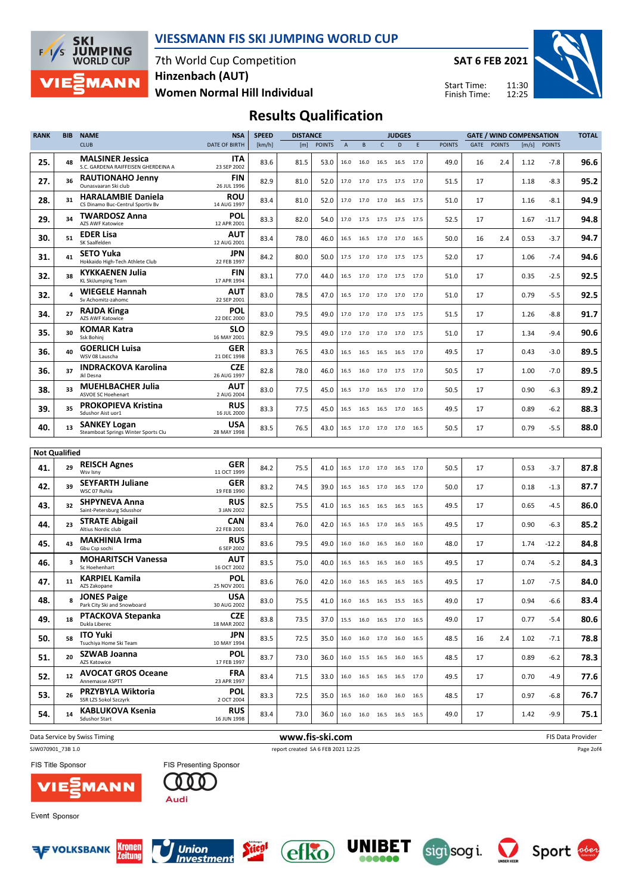

7th World Cup Competition Women Normal Hill Individual Hinzenbach (AUT)

SAT 6 FEB 2021

Start Time: Finish Time:



# Results Qualification

| <b>RANK</b>                 | <b>BIB</b> | <b>NAME</b>                                                    | <b>NSA</b>                | <b>SPEED</b> | <b>DISTANCE</b> |               |                           |                          |              | <b>JUDGES</b>  |      |               |      | <b>GATE / WIND COMPENSATION</b> |       |               | <b>TOTAL</b> |
|-----------------------------|------------|----------------------------------------------------------------|---------------------------|--------------|-----------------|---------------|---------------------------|--------------------------|--------------|----------------|------|---------------|------|---------------------------------|-------|---------------|--------------|
|                             |            | <b>CLUB</b>                                                    | <b>DATE OF BIRTH</b>      | [km/h]       | [m]             | <b>POINTS</b> | $\boldsymbol{\mathsf{A}}$ | B                        | $\mathsf{C}$ | D              | F    | <b>POINTS</b> | GATE | <b>POINTS</b>                   | [m/s] | <b>POINTS</b> |              |
| 25.                         | 48         | <b>MALSINER Jessica</b><br>S.C. GARDENA RAIFFEISEN GHERDEINA A | ITA<br>23 SEP 2002        | 83.6         | 81.5            | 53.0          | 16.0                      | 16.0                     |              | 16.5 16.5 17.0 |      | 49.0          | 16   | 2.4                             | 1.12  | $-7.8$        | 96.6         |
| 27.                         | 36         | <b>RAUTIONAHO Jenny</b><br>Ounasyaaran Ski club                | <b>FIN</b><br>26 JUL 1996 | 82.9         | 81.0            | 52.0          | 17.0                      | 17.0                     |              | 17.5 17.5 17.0 |      | 51.5          | 17   |                                 | 1.18  | $-8.3$        | 95.2         |
| 28.                         | 31         | <b>HARALAMBIE Daniela</b><br>CS Dinamo Buc-Centrul Sportiv Bv  | <b>ROU</b><br>14 AUG 1997 | 83.4         | 81.0            | 52.0          | 17.0                      | 17.0 17.0 16.5 17.5      |              |                |      | 51.0          | 17   |                                 | 1.16  | $-8.1$        | 94.9         |
| 29.                         | 34         | <b>TWARDOSZ Anna</b><br>AZS AWF Katowice                       | POL<br>12 APR 2001        | 83.3         | 82.0            | 54.0          | 17.0                      | 17.5                     |              | 17.5 17.5 17.5 |      | 52.5          | 17   |                                 | 1.67  | $-11.7$       | 94.8         |
| 30.                         | 51         | <b>EDER Lisa</b><br>SK Saalfelden                              | AUT<br>12 AUG 2001        | 83.4         | 78.0            | 46.0          | 16.5                      | 16.5                     |              | 17.0 17.0 16.5 |      | 50.0          | 16   | 2.4                             | 0.53  | $-3.7$        | 94.7         |
| 31.                         | 41         | <b>SETO Yuka</b><br>Hokkaido High-Tech Athlete Club            | <b>JPN</b><br>22 FEB 1997 | 84.2         | 80.0            | 50.0          | 17.5                      | 17.0                     |              | 17.0 17.5 17.5 |      | 52.0          | 17   |                                 | 1.06  | $-7.4$        | 94.6         |
| 32.                         | 38         | <b>KYKKAENEN Julia</b><br>KL SkiJumping Team                   | <b>FIN</b><br>17 APR 1994 | 83.1         | 77.0            | 44.0          | 16.5                      | 17.0                     |              | 17.0 17.5 17.0 |      | 51.0          | 17   |                                 | 0.35  | $-2.5$        | 92.5         |
| 32.                         | 4          | <b>WIEGELE Hannah</b><br>Sv Achomitz-zahomc                    | AUT<br>22 SEP 2001        | 83.0         | 78.5            | 47.0          | 16.5                      | 17.0                     | 17.0 17.0    |                | 17.0 | 51.0          | 17   |                                 | 0.79  | $-5.5$        | 92.5         |
| 34.                         | 27         | <b>RAJDA Kinga</b><br><b>AZS AWF Katowice</b>                  | POL<br>22 DEC 2000        | 83.0         | 79.5            | 49.0          |                           | 17.0 17.0 17.0 17.5 17.5 |              |                |      | 51.5          | 17   |                                 | 1.26  | $-8.8$        | 91.7         |
| 35.                         | 30         | <b>KOMAR Katra</b><br>Ssk Bohini                               | slo<br>16 MAY 2001        | 82.9         | 79.5            | 49.0          | 17.0                      | 17.0                     |              | 17.0 17.0 17.5 |      | 51.0          | 17   |                                 | 1.34  | $-9.4$        | 90.6         |
| 36.                         | 40         | <b>GOERLICH Luisa</b><br>WSV 08 Lauscha                        | <b>GER</b><br>21 DEC 1998 | 83.3         | 76.5            | 43.0          |                           | 16.5 16.5                |              | 16.5 16.5 17.0 |      | 49.5          | 17   |                                 | 0.43  | $-3.0$        | 89.5         |
| 36.                         | 37         | <b>INDRACKOVA Karolina</b><br>Jkl Desna                        | <b>CZE</b><br>26 AUG 1997 | 82.8         | 78.0            | 46.0          | 16.5                      | 16.0                     |              | 17.0 17.5 17.0 |      | 50.5          | 17   |                                 | 1.00  | $-7.0$        | 89.5         |
| 38.                         | 33         | <b>MUEHLBACHER Julia</b><br><b>ASVOE SC Hoehenart</b>          | AUT<br>2 AUG 2004         | 83.0         | 77.5            | 45.0          |                           | 16.5 17.0 16.5 17.0 17.0 |              |                |      | 50.5          | 17   |                                 | 0.90  | $-6.3$        | 89.2         |
| 39.                         | 35         | <b>PROKOPIEVA Kristina</b><br>Sdushor Aist uor1                | <b>RUS</b><br>16 JUL 2000 | 83.3         | 77.5            | 45.0          | 16.5                      | 16.5                     | 16.5 17.0    |                | 16.5 | 49.5          | 17   |                                 | 0.89  | $-6.2$        | 88.3         |
| 40.                         | 13         | <b>SANKEY Logan</b><br>Steamboat Springs Winter Sports Clu     | <b>USA</b><br>28 MAY 1998 | 83.5         | 76.5            | 43.0          |                           | 16.5 17.0 17.0 17.0 16.5 |              |                |      | 50.5          | 17   |                                 | 0.79  | $-5.5$        | 88.0         |
|                             |            |                                                                |                           |              |                 |               |                           |                          |              |                |      |               |      |                                 |       |               |              |
| <b>Not Qualified</b><br>41. | 29         | <b>REISCH Agnes</b><br>Wsv Isny                                | <b>GER</b><br>11 OCT 1999 | 84.2         | 75.5            | 41.0          |                           | 16.5 17.0 17.0 16.5 17.0 |              |                |      | 50.5          | 17   |                                 | 0.53  | $-3.7$        | 87.8         |
| 42.                         | 39         | <b>SEYFARTH Juliane</b><br>WSC 07 Ruhla                        | <b>GER</b><br>19 FEB 1990 | 83.2         | 74.5            | 39.0          | 16.5                      | 16.5                     |              | 17.0 16.5 17.0 |      | 50.0          | 17   |                                 | 0.18  | $-1.3$        | 87.7         |
| 43.                         | 32         | <b>SHPYNEVA Anna</b><br>Saint-Petersburg Sdusshor              | <b>RUS</b><br>3 JAN 2002  | 82.5         | 75.5            | 41.0          | 16.5                      | 16.5                     |              | 16.5 16.5 16.5 |      | 49.5          | 17   |                                 | 0.65  | -4.5          | 86.0         |
| 44.                         | 23         | <b>STRATE Abigail</b><br>Altius Nordic club                    | CAN<br>22 FEB 2001        | 83.4         | 76.0            | 42.0          | 16.5                      | 16.5                     |              | 17.0 16.5 16.5 |      | 49.5          | 17   |                                 | 0.90  | $-6.3$        | 85.2         |
| 45.                         | 43         | <b>MAKHINIA Irma</b><br>Gbu Csp sochi                          | <b>RUS</b><br>6 SEP 2002  | 83.6         | 79.5            | 49.0          | 16.0                      | 16.0                     | 16.5         | 16.0           | 16.0 | 48.0          | 17   |                                 | 1.74  | $-12.2$       | 84.8         |
| 46.                         | 3          | <b>MOHARITSCH Vanessa</b><br>Sc Hoehenhart                     | AUT<br>16 OCT 2002        | 83.5         | 75.0            | 40.0          | 16.5                      | 16.5                     | 16.5         | 16.0           | 16.5 | 49.5          | 17   |                                 | 0.74  | $-5.2$        | 84.3         |
| 47.                         | 11         | <b>KARPIEL Kamila</b><br>AZS Zakopane                          | POL<br>25 NOV 2001        | 83.6         | 76.0            | 42.0          | 16.0                      | 16.5                     | 16.5         | 16.5           | 16.5 | 49.5          | 17   |                                 | 1.07  | -7.5          | 84.0         |
| 48.                         | 8          | <b>JONES Paige</b><br>Park City Ski and Snowboard              | <b>USA</b><br>30 AUG 2002 | 83.0         | 75.5            | 41.0          | 16.0                      | 16.5                     |              | 16.5 15.5 16.5 |      | 49.0          | 17   |                                 | 0.94  | $-6.6$        | 83.4         |
| 49.                         | 18         | <b>PTACKOVA Stepanka</b><br>Dukla Liberec                      | <b>CZE</b><br>18 MAR 2002 | 83.8         | 73.5            | 37.0          |                           | 15.5 16.0 16.5 17.0 16.5 |              |                |      | 49.0          | 17   |                                 | 0.77  | $-5.4$        | 80.6         |
| 50.                         | 58         | <b>ITO Yuki</b><br>Tsuchiya Home Ski Team                      | JPN<br>10 MAY 1994        | 83.5         | 72.5            | 35.0          |                           | 16.0 16.0 17.0 16.0 16.5 |              |                |      | 48.5          | 16   | 2.4                             | 1.02  | $-7.1$        | 78.8         |
| 51.                         | 20         | SZWAB Joanna<br>AZS Katowice                                   | <b>POL</b><br>17 FEB 1997 | 83.7         | 73.0            | 36.0          |                           | 16.0 15.5 16.5 16.0 16.5 |              |                |      | 48.5          | 17   |                                 | 0.89  | $-6.2$        | 78.3         |
| 52.                         | 12         | <b>AVOCAT GROS Oceane</b><br>Annemasse ASPTT                   | <b>FRA</b><br>23 APR 1997 | 83.4         | 71.5            | 33.0          |                           | 16.0 16.5 16.5 16.5 17.0 |              |                |      | 49.5          | 17   |                                 | 0.70  | $-4.9$        | 77.6         |
| 53.                         | 26         | PRZYBYLA Wiktoria<br>SSR LZS Sokol Szczyrk                     | <b>POL</b><br>2 OCT 2004  | 83.3         | 72.5            | 35.0          |                           | 16.5 16.0 16.0 16.0 16.5 |              |                |      | 48.5          | 17   |                                 | 0.97  | $-6.8$        | 76.7         |
| 54.                         | 14         | <b>KABLUKOVA Ksenia</b><br>Sdushor Start                       | <b>RUS</b><br>16 JUN 1998 | 83.4         | 73.0            | 36.0          |                           | 16.0 16.0 16.5 16.5 16.5 |              |                |      | 49.0          | 17   |                                 | 1.42  | $-9.9$        | 75.1         |
|                             |            |                                                                |                           |              |                 |               |                           |                          |              |                |      |               |      |                                 |       |               |              |

Data Service by Swiss Timing **EXECUTE 2008 WWW.fis-ski.com WWW.fis-Ski.com FIS Data Provider** 

SJW070901\_73B 1.0 report created SA 6 FEB 2021 12:25

Page 2of4

FIS Title Sponsor



Event Sponsor



**ANN** 









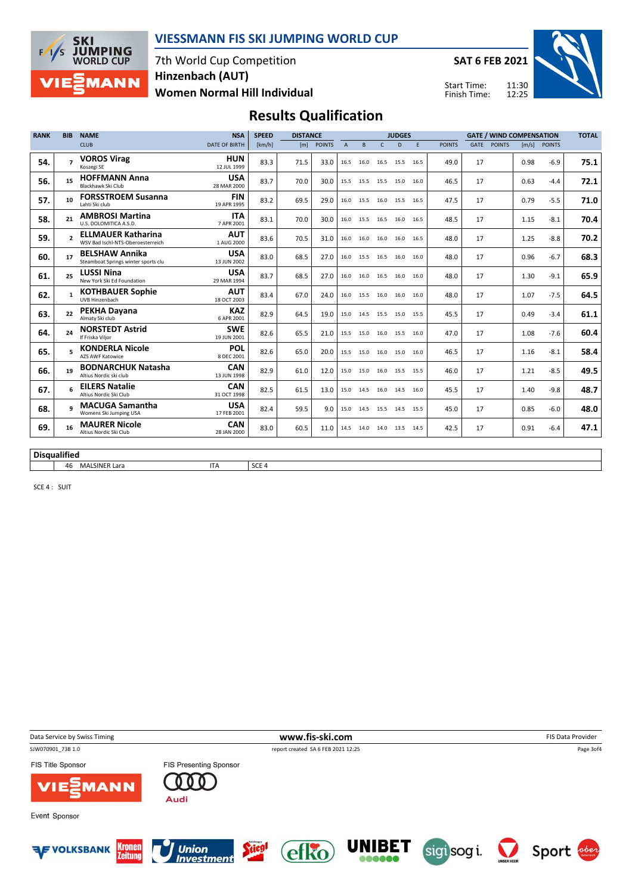

7th World Cup Competition Women Normal Hill Individual Hinzenbach (AUT)

SAT 6 FEB 2021

Start Time: Finish Time:



## Results Qualification

| <b>RANK</b>         | <b>BIB</b>               | <b>NAME</b>                                                    | <b>NSA</b>                | <b>SPEED</b>     | <b>DISTANCE</b> |               |                | <b>GATE / WIND COMPENSATION</b><br><b>JUDGES</b> |              |                |   |               |             | <b>TOTAL</b>  |      |              |      |
|---------------------|--------------------------|----------------------------------------------------------------|---------------------------|------------------|-----------------|---------------|----------------|--------------------------------------------------|--------------|----------------|---|---------------|-------------|---------------|------|--------------|------|
|                     |                          | <b>CLUB</b>                                                    | <b>DATE OF BIRTH</b>      | [km/h]           | [m]             | <b>POINTS</b> | $\overline{A}$ | B.                                               | $\mathsf{C}$ | D.             | F | <b>POINTS</b> | <b>GATE</b> | <b>POINTS</b> |      | [m/s] POINTS |      |
| 54.                 | $\overline{ }$           | <b>VOROS Virag</b><br>Koszegi SE                               | <b>HUN</b><br>12 JUL 1999 | 83.3             | 71.5            | 33.0          | 16.5           | 16.0                                             |              | 16.5 15.5 16.5 |   | 49.0          | 17          |               | 0.98 | $-6.9$       | 75.1 |
| 56.                 | 15                       | <b>HOFFMANN Anna</b><br>Blackhawk Ski Club                     | <b>USA</b><br>28 MAR 2000 | 83.7             | 70.0            | 30.0          |                | 15.5 15.5                                        |              | 15.5 15.0 16.0 |   | 46.5          | 17          |               | 0.63 | $-4.4$       | 72.1 |
| 57.                 | 10                       | <b>FORSSTROEM Susanna</b><br>Lahti Ski club                    | <b>FIN</b><br>19 APR 1995 | 83.2             | 69.5            | 29.0          |                | 16.0 15.5                                        |              | 16.0 15.5 16.5 |   | 47.5          | 17          |               | 0.79 | $-5.5$       | 71.0 |
| 58.                 | 21                       | <b>AMBROSI Martina</b><br>U.S. DOLOMITICA A.S.D.               | <b>ITA</b><br>7 APR 2001  | 83.1             | 70.0            | 30.0          | 16.0           | 15.5                                             |              | 16.5 16.0 16.5 |   | 48.5          | 17          |               | 1.15 | $-8.1$       | 70.4 |
| 59.                 | $\overline{\phantom{a}}$ | <b>ELLMAUER Katharina</b><br>WSV Bad Ischl-NTS-Oberoesterreich | <b>AUT</b><br>1 AUG 2000  | 83.6             | 70.5            | 31.0          |                | 16.0 16.0                                        |              | 16.0 16.0 16.5 |   | 48.0          | 17          |               | 1.25 | $-8.8$       | 70.2 |
| 60.                 | 17                       | <b>BELSHAW Annika</b><br>Steamboat Springs winter sports clu   | <b>USA</b><br>13 JUN 2002 | 83.0             | 68.5            | 27.0          |                | 16.0 15.5                                        |              | 16.5 16.0 16.0 |   | 48.0          | 17          |               | 0.96 | $-6.7$       | 68.3 |
| 61.                 | 25                       | <b>LUSSI Nina</b><br>New York Ski Ed Foundation                | <b>USA</b><br>29 MAR 1994 | 83.7             | 68.5            | 27.0          | 16.0           | 16.0                                             |              | 16.5 16.0 16.0 |   | 48.0          | 17          |               | 1.30 | $-9.1$       | 65.9 |
| 62.                 | 1                        | <b>KOTHBAUER Sophie</b><br>UVB Hinzenbach                      | <b>AUT</b><br>18 OCT 2003 | 83.4             | 67.0            | 24.0          |                | 16.0 15.5                                        |              | 16.0 16.0 16.0 |   | 48.0          | 17          |               | 1.07 | $-7.5$       | 64.5 |
| 63.                 | 22                       | PEKHA Dayana<br>Almaty Ski club                                | <b>KAZ</b><br>6 APR 2001  | 82.9             | 64.5            | 19.0          | 15.0           | 14.5                                             |              | 15.5 15.0 15.5 |   | 45.5          | 17          |               | 0.49 | $-3.4$       | 61.1 |
| 64.                 | 24                       | <b>NORSTEDT Astrid</b><br>If Friska Viljor                     | <b>SWE</b><br>19 JUN 2001 | 82.6             | 65.5            | 21.0          |                | 15.5 15.0                                        |              | 16.0 15.5 16.0 |   | 47.0          | 17          |               | 1.08 | $-7.6$       | 60.4 |
| 65.                 | 5                        | <b>KONDERLA Nicole</b><br><b>AZS AWF Katowice</b>              | <b>POL</b><br>8 DEC 2001  | 82.6             | 65.0            | 20.0          |                | 15.5 15.0                                        |              | 16.0 15.0 16.0 |   | 46.5          | 17          |               | 1.16 | $-8.1$       | 58.4 |
| 66.                 | 19                       | <b>BODNARCHUK Natasha</b><br>Altius Nordic ski club            | <b>CAN</b><br>13 JUN 1998 | 82.9             | 61.0            | 12.0          |                | 15.0 15.0                                        |              | 16.0 15.5 15.5 |   | 46.0          | 17          |               | 1.21 | $-8.5$       | 49.5 |
| 67.                 | 6                        | <b>EILERS Natalie</b><br>Altius Nordic Ski Club                | CAN<br>31 OCT 1998        | 82.5             | 61.5            | 13.0          |                | 15.0 14.5                                        |              | 16.0 14.5 16.0 |   | 45.5          | 17          |               | 1.40 | $-9.8$       | 48.7 |
| 68.                 | q                        | <b>MACUGA Samantha</b><br>Womens Ski Jumping USA               | <b>USA</b><br>17 FEB 2001 | 82.4             | 59.5            | 9.0           |                | 15.0 14.5                                        |              | 15.5 14.5 15.5 |   | 45.0          | 17          |               | 0.85 | $-6.0$       | 48.0 |
| 69.                 | 16                       | <b>MAURER Nicole</b><br>Altius Nordic Ski Club                 | <b>CAN</b><br>28 JAN 2000 | 83.0             | 60.5            | 11.0          |                | 14.5 14.0                                        |              | 14.0 13.5 14.5 |   | 42.5          | 17          |               | 0.91 | $-6.4$       | 47.1 |
|                     |                          |                                                                |                           |                  |                 |               |                |                                                  |              |                |   |               |             |               |      |              |      |
| <b>Disqualified</b> |                          |                                                                |                           |                  |                 |               |                |                                                  |              |                |   |               |             |               |      |              |      |
|                     |                          | 46 MALSINER Lara                                               | <b>ITA</b>                | SCE <sub>4</sub> |                 |               |                |                                                  |              |                |   |               |             |               |      |              |      |

SCE 4 : SUIT